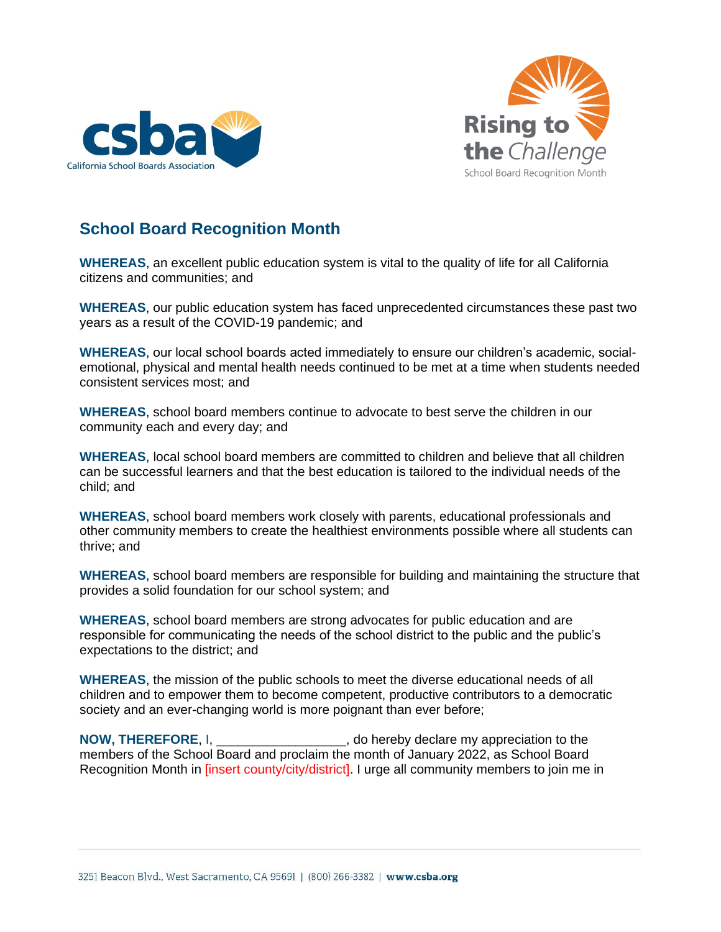



## **School Board Recognition Month**

**WHEREAS**, an excellent public education system is vital to the quality of life for all California citizens and communities; and

**WHEREAS**, our public education system has faced unprecedented circumstances these past two years as a result of the COVID-19 pandemic; and

**WHEREAS**, our local school boards acted immediately to ensure our children's academic, socialemotional, physical and mental health needs continued to be met at a time when students needed consistent services most; and

**WHEREAS**, school board members continue to advocate to best serve the children in our community each and every day; and

**WHEREAS**, local school board members are committed to children and believe that all children can be successful learners and that the best education is tailored to the individual needs of the child; and

**WHEREAS**, school board members work closely with parents, educational professionals and other community members to create the healthiest environments possible where all students can thrive; and

**WHEREAS**, school board members are responsible for building and maintaining the structure that provides a solid foundation for our school system; and

**WHEREAS**, school board members are strong advocates for public education and are responsible for communicating the needs of the school district to the public and the public's expectations to the district; and

**WHEREAS**, the mission of the public schools to meet the diverse educational needs of all children and to empower them to become competent, productive contributors to a democratic society and an ever-changing world is more poignant than ever before;

**NOW, THEREFORE, I, \_\_\_\_\_\_\_\_\_\_\_\_\_\_\_\_\_\_, do hereby declare my appreciation to the** members of the School Board and proclaim the month of January 2022, as School Board Recognition Month in [insert county/city/district]. I urge all community members to join me in